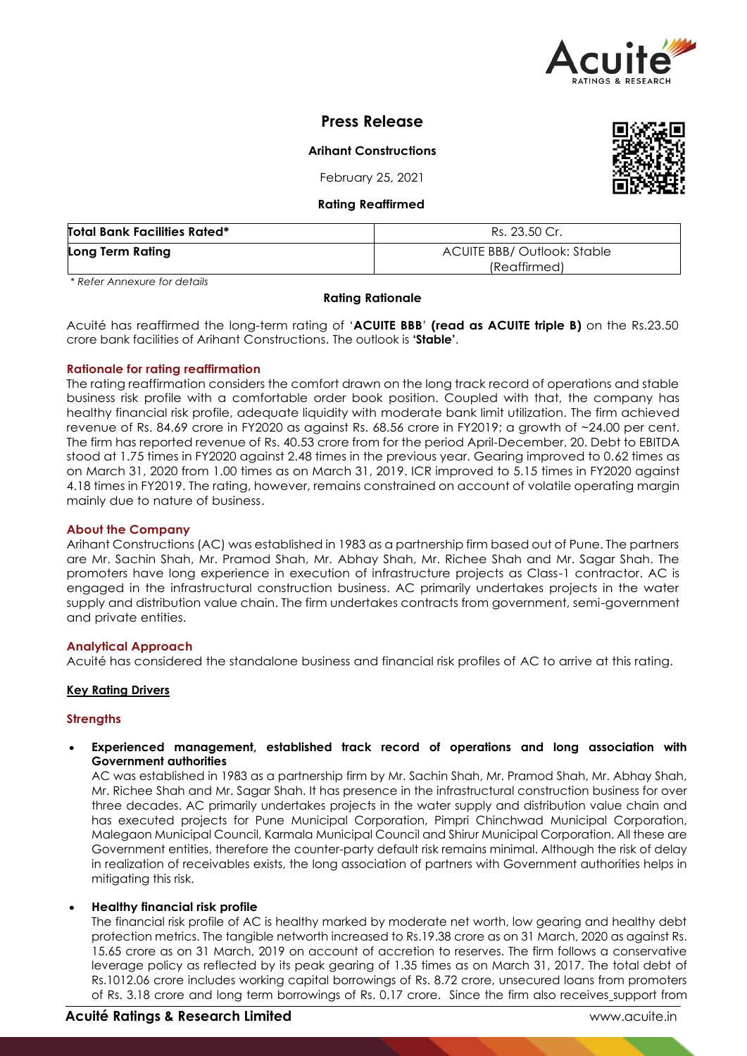

# **Press Release**

**Arihant Constructions**

February 25, 2021

#### **Rating Reaffirmed**

| <b>Total Bank Facilities Rated*</b> | Rs. 23.50 Cr.                               |
|-------------------------------------|---------------------------------------------|
| Long Term Rating                    | ACUITE BBB/ Outlook: Stable<br>(Reaffirmed) |

*\* Refer Annexure for details*

#### **Rating Rationale**

Acuité has reaffirmed the long-term rating of '**ACUITE BBB**' **(read as ACUITE triple B)** on the Rs.23.50 crore bank facilities of Arihant Constructions. The outlook is **'Stable'**.

## **Rationale for rating reaffirmation**

The rating reaffirmation considers the comfort drawn on the long track record of operations and stable business risk profile with a comfortable order book position. Coupled with that, the company has healthy financial risk profile, adequate liquidity with moderate bank limit utilization. The firm achieved revenue of Rs. 84.69 crore in FY2020 as against Rs. 68.56 crore in FY2019; a growth of ~24.00 per cent. The firm has reported revenue of Rs. 40.53 crore from for the period April-December, 20. Debt to EBITDA stood at 1.75 times in FY2020 against 2.48 times in the previous year. Gearing improved to 0.62 times as on March 31, 2020 from 1.00 times as on March 31, 2019. ICR improved to 5.15 times in FY2020 against 4.18 times in FY2019. The rating, however, remains constrained on account of volatile operating margin mainly due to nature of business.

#### **About the Company**

Arihant Constructions (AC) was established in 1983 as a partnership firm based out of Pune. The partners are Mr. Sachin Shah, Mr. Pramod Shah, Mr. Abhay Shah, Mr. Richee Shah and Mr. Sagar Shah. The promoters have long experience in execution of infrastructure projects as Class-1 contractor. AC is engaged in the infrastructural construction business. AC primarily undertakes projects in the water supply and distribution value chain. The firm undertakes contracts from government, semi-government and private entities.

#### **Analytical Approach**

Acuité has considered the standalone business and financial risk profiles of AC to arrive at this rating.

#### **Key Rating Drivers**

#### **Strengths**

 **Experienced management, established track record of operations and long association with Government authorities**

AC was established in 1983 as a partnership firm by Mr. Sachin Shah, Mr. Pramod Shah, Mr. Abhay Shah, Mr. Richee Shah and Mr. Sagar Shah. It has presence in the infrastructural construction business for over three decades. AC primarily undertakes projects in the water supply and distribution value chain and has executed projects for Pune Municipal Corporation, Pimpri Chinchwad Municipal Corporation, Malegaon Municipal Council, Karmala Municipal Council and Shirur Municipal Corporation. All these are Government entities, therefore the counter-party default risk remains minimal. Although the risk of delay in realization of receivables exists, the long association of partners with Government authorities helps in mitigating this risk.

#### **Healthy financial risk profile**

The financial risk profile of AC is healthy marked by moderate net worth, low gearing and healthy debt protection metrics. The tangible networth increased to Rs.19.38 crore as on 31 March, 2020 as against Rs. 15.65 crore as on 31 March, 2019 on account of accretion to reserves. The firm follows a conservative leverage policy as reflected by its peak gearing of 1.35 times as on March 31, 2017. The total debt of Rs.1012.06 crore includes working capital borrowings of Rs. 8.72 crore, unsecured loans from promoters of Rs. 3.18 crore and long term borrowings of Rs. 0.17 crore. Since the firm also receives support from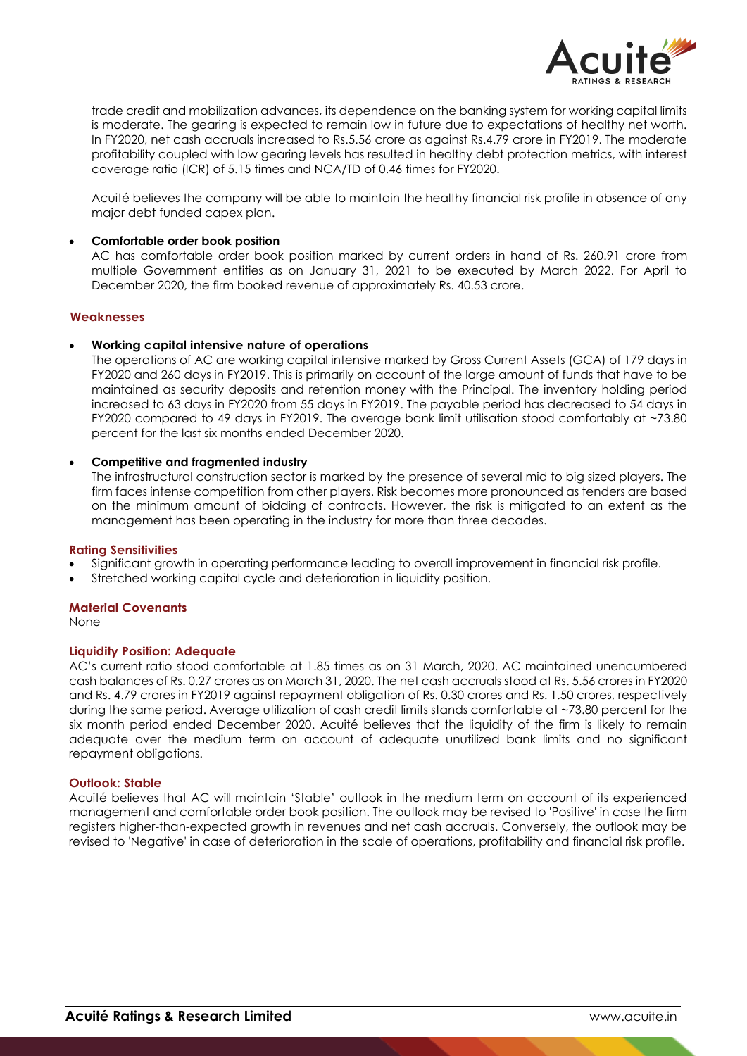

trade credit and mobilization advances, its dependence on the banking system for working capital limits is moderate. The gearing is expected to remain low in future due to expectations of healthy net worth. In FY2020, net cash accruals increased to Rs.5.56 crore as against Rs.4.79 crore in FY2019. The moderate profitability coupled with low gearing levels has resulted in healthy debt protection metrics, with interest coverage ratio (ICR) of 5.15 times and NCA/TD of 0.46 times for FY2020.

Acuité believes the company will be able to maintain the healthy financial risk profile in absence of any major debt funded capex plan.

#### **Comfortable order book position**

AC has comfortable order book position marked by current orders in hand of Rs. 260.91 crore from multiple Government entities as on January 31, 2021 to be executed by March 2022. For April to December 2020, the firm booked revenue of approximately Rs. 40.53 crore.

#### **Weaknesses**

#### **Working capital intensive nature of operations**

The operations of AC are working capital intensive marked by Gross Current Assets (GCA) of 179 days in FY2020 and 260 days in FY2019. This is primarily on account of the large amount of funds that have to be maintained as security deposits and retention money with the Principal. The inventory holding period increased to 63 days in FY2020 from 55 days in FY2019. The payable period has decreased to 54 days in FY2020 compared to 49 days in FY2019. The average bank limit utilisation stood comfortably at ~73.80 percent for the last six months ended December 2020.

#### **Competitive and fragmented industry**

The infrastructural construction sector is marked by the presence of several mid to big sized players. The firm faces intense competition from other players. Risk becomes more pronounced as tenders are based on the minimum amount of bidding of contracts. However, the risk is mitigated to an extent as the management has been operating in the industry for more than three decades.

#### **Rating Sensitivities**

- Significant growth in operating performance leading to overall improvement in financial risk profile.
- Stretched working capital cycle and deterioration in liquidity position.

#### **Material Covenants**

None

#### **Liquidity Position: Adequate**

AC's current ratio stood comfortable at 1.85 times as on 31 March, 2020. AC maintained unencumbered cash balances of Rs. 0.27 crores as on March 31, 2020. The net cash accruals stood at Rs. 5.56 crores in FY2020 and Rs. 4.79 crores in FY2019 against repayment obligation of Rs. 0.30 crores and Rs. 1.50 crores, respectively during the same period. Average utilization of cash credit limits stands comfortable at ~73.80 percent for the six month period ended December 2020. Acuité believes that the liquidity of the firm is likely to remain adequate over the medium term on account of adequate unutilized bank limits and no significant repayment obligations.

#### **Outlook: Stable**

Acuité believes that AC will maintain 'Stable' outlook in the medium term on account of its experienced management and comfortable order book position. The outlook may be revised to 'Positive' in case the firm registers higher-than-expected growth in revenues and net cash accruals. Conversely, the outlook may be revised to 'Negative' in case of deterioration in the scale of operations, profitability and financial risk profile.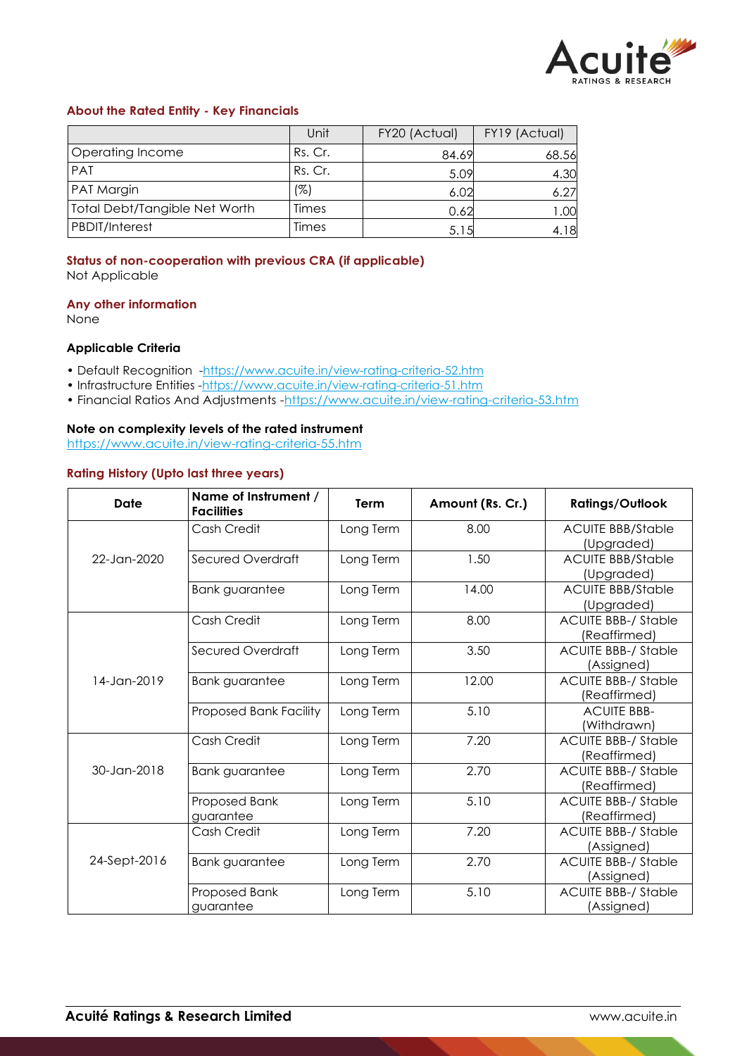

# **About the Rated Entity - Key Financials**

|                               | Unit    | FY20 (Actual) | FY19 (Actual) |
|-------------------------------|---------|---------------|---------------|
| Operating Income              | Rs. Cr. | 84.69         | 68.56         |
| PAT                           | Rs. Cr. | 5.09          | 4.30          |
| <b>PAT Margin</b>             | (%)     | 6.02          | 6.27          |
| Total Debt/Tangible Net Worth | Times   | 0.62          | 1.00          |
| <b>PBDIT/Interest</b>         | Times   | 5.15          | 4.18          |

# **Status of non-cooperation with previous CRA (if applicable)**

Not Applicable

#### **Any other information**

None

# **Applicable Criteria**

- Default Recognition -https://www.acuite.in/view-rating-criteria-52.htm
- Infrastructure Entities -https://www.acuite.in/view-rating-criteria-51.htm
- Financial Ratios And Adjustments -https://www.acuite.in/view-rating-criteria-53.htm

## **Note on complexity levels of the rated instrument**

https://www.acuite.in/view-rating-criteria-55.htm

# **Rating History (Upto last three years)**

| Date         | Name of Instrument /<br><b>Facilities</b> | <b>Term</b> | Amount (Rs. Cr.) | <b>Ratings/Outlook</b>     |
|--------------|-------------------------------------------|-------------|------------------|----------------------------|
|              | Cash Credit                               | Long Term   | 8.00             | <b>ACUITE BBB/Stable</b>   |
|              |                                           |             |                  | (Upgraded)                 |
| 22-Jan-2020  | Secured Overdraft                         | Long Term   | 1.50             | <b>ACUITE BBB/Stable</b>   |
|              |                                           |             |                  | (Upgraded)                 |
|              | <b>Bank guarantee</b>                     | Long Term   | 14.00            | <b>ACUITE BBB/Stable</b>   |
|              |                                           |             |                  | (Upgraded)                 |
|              | Cash Credit                               | Long Term   | 8.00             | <b>ACUITE BBB-/ Stable</b> |
|              |                                           |             |                  | (Reaffirmed)               |
|              | Secured Overdraft                         | Long Term   | 3.50             | <b>ACUITE BBB-/ Stable</b> |
|              |                                           |             |                  | (Assigned)                 |
| 14-Jan-2019  | <b>Bank guarantee</b>                     | Long Term   | 12.00            | <b>ACUITE BBB-/ Stable</b> |
|              |                                           |             |                  | (Reaffirmed)               |
|              | <b>Proposed Bank Facility</b>             | Long Term   | 5.10             | <b>ACUITE BBB-</b>         |
|              |                                           |             |                  | (Withdrawn)                |
|              | Cash Credit                               | Long Term   | 7.20             | <b>ACUITE BBB-/ Stable</b> |
|              |                                           |             |                  | (Reaffirmed)               |
| 30-Jan-2018  | <b>Bank guarantee</b>                     | Long Term   | 2.70             | <b>ACUITE BBB-/ Stable</b> |
|              |                                           |             |                  | (Reaffirmed)               |
|              | Proposed Bank                             | Long Term   | 5.10             | <b>ACUITE BBB-/ Stable</b> |
|              | guarantee                                 |             |                  | (Reaffirmed)               |
|              | Cash Credit                               | Long Term   | 7.20             | <b>ACUITE BBB-/ Stable</b> |
|              |                                           |             |                  | (Assigned)                 |
| 24-Sept-2016 | <b>Bank guarantee</b>                     | Long Term   | 2.70             | <b>ACUITE BBB-/ Stable</b> |
|              |                                           |             |                  | (Assigned)                 |
|              | Proposed Bank                             | Long Term   | 5.10             | <b>ACUITE BBB-/ Stable</b> |
|              | guarantee                                 |             |                  | (Assigned)                 |